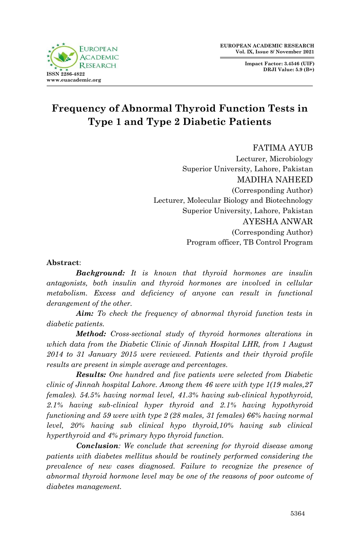**Impact Factor: 3.4546 (UIF) DRJI Value: 5.9 (B+)**



# **Frequency of Abnormal Thyroid Function Tests in Type 1 and Type 2 Diabetic Patients**

#### FATIMA AYUB

Lecturer, Microbiology Superior University, Lahore, Pakistan MADIHA NAHEED (Corresponding Author) Lecturer, Molecular Biology and Biotechnology Superior University, Lahore, Pakistan AYESHA ANWAR (Corresponding Author) Program officer, TB Control Program

#### **Abstract**:

*Background: It is known that thyroid hormones are insulin antagonists, both insulin and thyroid hormones are involved in cellular metabolism. Excess and deficiency of anyone can result in functional derangement of the other.*

*Aim: To check the frequency of abnormal thyroid function tests in diabetic patients.* 

*Method: Cross-sectional study of thyroid hormones alterations in which data from the Diabetic Clinic of Jinnah Hospital LHR, from 1 August 2014 to 31 January 2015 were reviewed. Patients and their thyroid profile results are present in simple average and percentages.*

*Results: One hundred and five patients were selected from Diabetic clinic of Jinnah hospital Lahore. Among them 46 were with type 1(19 males,27 females). 54.5% having normal level, 41.3% having sub-clinical hypothyroid, 2.1% having sub-clinical hyper thyroid and 2.1% having hypothyroid functioning and 59 were with type 2 (28 males, 31 females) 66% having normal level, 20% having sub clinical hypo thyroid,10% having sub clinical hyperthyroid and 4% primary hypo thyroid function.*

*Conclusion: We conclude that screening for thyroid disease among patients with diabetes mellitus should be routinely performed considering the*  prevalence of new cases diagnosed. Failure to recognize the presence of *abnormal thyroid hormone level may be one of the reasons of poor outcome of diabetes management.*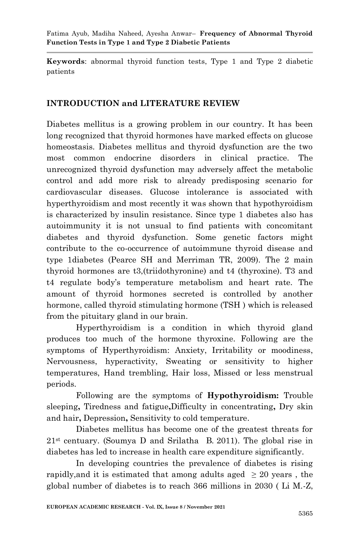**Keywords**: abnormal thyroid function tests, Type 1 and Type 2 diabetic patients

# **INTRODUCTION and LITERATURE REVIEW**

Diabetes mellitus is a growing problem in our country. It has been long recognized that thyroid hormones have marked effects on glucose homeostasis. Diabetes mellitus and thyroid dysfunction are the two most common endocrine disorders in clinical practice. The unrecognized thyroid dysfunction may adversely affect the metabolic control and add more risk to already predisposing scenario for cardiovascular diseases. Glucose intolerance is associated with hyperthyroidism and most recently it was shown that hypothyroidism is characterized by insulin resistance. Since type 1 diabetes also has autoimmunity it is not unsual to find patients with concomitant diabetes and thyroid dysfunction. Some genetic factors might contribute to the co-occurrence of autoimmune thyroid disease and type 1diabetes (Pearce SH and Merriman TR, 2009). The 2 main thyroid hormones are t3,(triidothyronine) and t4 (thyroxine). T3 and t4 regulate body's temperature metabolism and heart rate. The amount of thyroid hormones secreted is controlled by another hormone, called thyroid stimulating hormone (TSH ) which is released from the pituitary gland in our brain.

Hyperthyroidism is a condition in which thyroid gland produces too much of the hormone thyroxine. Following are the symptoms of Hyperthyroidism: Anxiety, Irritability or moodiness, Nervousness, hyperactivity, Sweating or sensitivity to higher temperatures, Hand trembling, Hair loss, Missed or less menstrual periods.

Following are the symptoms of **Hypothyroidism:** Trouble sleeping**,** Tiredness and fatigue**,**Difficulty in concentrating**,** Dry skin and hair**,** Depression**,** Sensitivity to cold temperature.

Diabetes mellitus has become one of the greatest threats for  $21<sup>st</sup>$  centuary. (Soumya D and Srilatha B. 2011). The global rise in diabetes has led to increase in health care expenditure significantly.

In developing countries the prevalence of diabetes is rising rapidly, and it is estimated that among adults aged  $\geq 20$  years, the global number of diabetes is to reach 366 millions in 2030 ( Li M.-Z,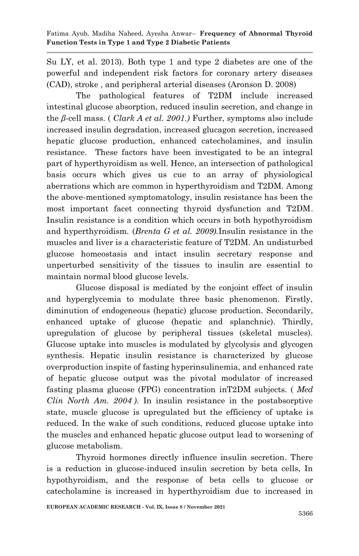Su LY, et al. 2013). Both type 1 and type 2 diabetes are one of the powerful and independent risk factors for coronary artery diseases (CAD), stroke , and peripheral arterial diseases (Aronson D. 2008)

The pathological features of T2DM include increased intestinal glucose absorption, reduced insulin secretion, and change in the *β*-cell mass. ( *Clark A et al. 2001.)* Further, symptoms also include increased insulin degradation, increased glucagon secretion, increased hepatic glucose production, enhanced catecholamines, and insulin resistance. These factors have been investigated to be an integral part of hyperthyroidism as well. Hence, an intersection of pathological basis occurs which gives us cue to an array of physiological aberrations which are common in hyperthyroidism and T2DM. Among the above-mentioned symptomatology, insulin resistance has been the most important facet connecting thyroid dysfunction and T2DM. Insulin resistance is a condition which occurs in both hypothyroidism and hyperthyroidism. (*Brenta G et al. 2009).*Insulin resistance in the muscles and liver is a characteristic feature of T2DM. An undisturbed glucose homeostasis and intact insulin secretary response and unperturbed sensitivity of the tissues to insulin are essential to maintain normal blood glucose levels.

Glucose disposal is mediated by the conjoint effect of insulin and hyperglycemia to modulate three basic phenomenon. Firstly, diminution of endogeneous (hepatic) glucose production. Secondarily, enhanced uptake of glucose (hepatic and splanchnic). Thirdly, upregulation of glucose by peripheral tissues (skeletal muscles). Glucose uptake into muscles is modulated by glycolysis and glycogen synthesis. Hepatic insulin resistance is characterized by glucose overproduction inspite of fasting hyperinsulinemia, and enhanced rate of hepatic glucose output was the pivotal modulator of increased fasting plasma glucose (FPG) concentration inT2DM subjects. ( *Med Clin North Am. 2004 )*. In insulin resistance in the postabsorptive state, muscle glucose is upregulated but the efficiency of uptake is reduced. In the wake of such conditions, reduced glucose uptake into the muscles and enhanced hepatic glucose output lead to worsening of glucose metabolism.

Thyroid hormones directly influence insulin secretion. There is a reduction in glucose-induced insulin secretion by beta cells, In hypothyroidism, and the response of beta cells to glucose or catecholamine is increased in hyperthyroidism due to increased in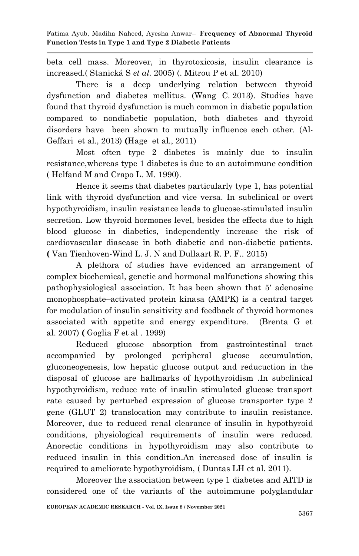beta cell mass. Moreover, in thyrotoxicosis, insulin clearance is increased.( Stanická S *et al.* 2005) (. Mitrou P et al. 2010)

There is a deep underlying relation between thyroid dysfunction and diabetes mellitus. (Wang C. 2013). Studies have found that thyroid dysfunction is much common in diabetic population compared to nondiabetic population, both diabetes and thyroid disorders have been shown to mutually influence each other. (Al-Geffari et al., 2013) **(**Hage et al., 2011)

Most often type 2 diabetes is mainly due to insulin resistance,whereas type 1 diabetes is due to an autoimmune condition ( Helfand M and Crapo L. M. 1990).

Hence it seems that diabetes particularly type 1, has potential link with thyroid dysfunction and vice versa. In subclinical or overt hypothyroidism, insulin resistance leads to glucose-stimulated insulin secretion. Low thyroid hormones level, besides the effects due to high blood glucose in diabetics, independently increase the risk of cardiovascular diasease in both diabetic and non-diabetic patients. **(** Van Tienhoven-Wind L. J. N and Dullaart R. P. F.. 2015)

A plethora of studies have evidenced an arrangement of complex biochemical, genetic and hormonal malfunctions showing this pathophysiological association. It has been shown that 5′ adenosine monophosphate–activated protein kinasa (AMPK) is a central target for modulation of insulin sensitivity and feedback of thyroid hormones associated with appetite and energy expenditure. (Brenta G et al. 2007) **(** Goglia F et al . 1999)

Reduced glucose absorption from gastrointestinal tract accompanied by prolonged peripheral glucose accumulation, gluconeogenesis, low hepatic glucose output and reducuction in the disposal of glucose are hallmarks of hypothyroidism .In subclinical hypothyroidism, reduce rate of insulin stimulated glucose transport rate caused by perturbed expression of glucose transporter type 2 gene (GLUT 2) translocation may contribute to insulin resistance. Moreover, due to reduced renal clearance of insulin in hypothyroid conditions, physiological requirements of insulin were reduced. Anorectic conditions in hypothyroidism may also contribute to reduced insulin in this condition.An increased dose of insulin is required to ameliorate hypothyroidism, ( Duntas LH et al. 2011).

Moreover the association between type 1 diabetes and AITD is considered one of the variants of the autoimmune polyglandular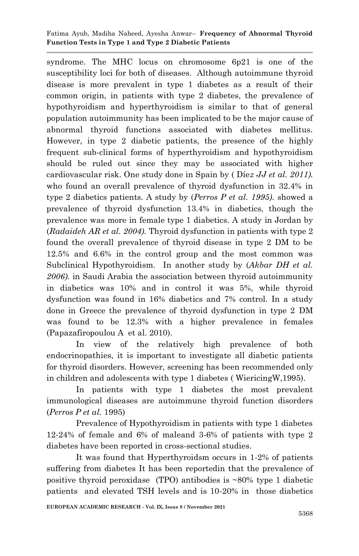syndrome. The MHC locus on chromosome 6p21 is one of the susceptibility loci for both of diseases. Although autoimmune thyroid disease is more prevalent in type 1 diabetes as a result of their common origin, in patients with type 2 diabetes, the prevalence of hypothyroidism and hyperthyroidism is similar to that of general population autoimmunity has been implicated to be the major cause of abnormal thyroid functions associated with diabetes mellitus. However, in type 2 diabetic patients, the presence of the highly frequent sub-clinical forms of hyperthyroidism and hypothyroidism should be ruled out since they may be associated with higher cardiovascular risk. One study done in Spain by ( Díe*z JJ et al. 2011).*  who found an overall prevalence of thyroid dysfunction in 32.4% in type 2 diabetics patients. A study by (*Perros P et al. 1995).* showed a prevalence of thyroid dysfunction 13.4% in diabetics, though the prevalence was more in female type 1 diabetics. A study in Jordan by (*Radaideh AR et al. 2004).* Thyroid dysfunction in patients with type 2 found the overall prevalence of thyroid disease in type 2 DM to be 12.5% and 6.6% in the control group and the most common was Subclinical Hypothyroidism. In another study by (*Akbar DH et al. 2006).* in Saudi Arabia the association between thyroid autoimmunity in diabetics was 10% and in control it was 5%, while thyroid dysfunction was found in 16% diabetics and 7% control. In a study done in Greece the prevalence of thyroid dysfunction in type 2 DM was found to be 12.3% with a higher prevalence in females (Papazafiropoulou A et al. 2010).

In view of the relatively high prevalence of both endocrinopathies, it is important to investigate all diabetic patients for thyroid disorders. However, screening has been recommended only in children and adolescents with type 1 diabetes ( WiericingW,1995).

In patients with type 1 diabetes the most prevalent immunological diseases are autoimmune thyroid function disorders (*Perros P et al.* 1995)

Prevalence of Hypothyroidism in patients with type 1 diabetes 12-24% of female and 6% of maleand 3-6% of patients with type 2 diabetes have been reported in cross-sectional studies.

It was found that Hyperthyroidsm occurs in 1-2% of patients suffering from diabetes It has been reportedin that the prevalence of positive thyroid peroxidase (TPO) antibodies is  $\sim 80\%$  type 1 diabetic patients and elevated TSH levels and is 10-20% in those diabetics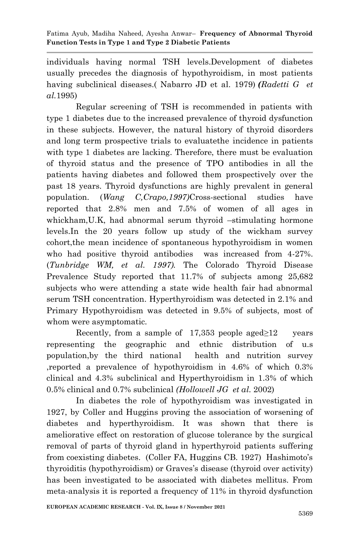individuals having normal TSH levels.Development of diabetes usually precedes the diagnosis of hypothyroidism, in most patients having subclinical diseases.( Nabarro JD et al. 1979) *(Radetti G et al.*1995)

Regular screening of TSH is recommended in patients with type 1 diabetes due to the increased prevalence of thyroid dysfunction in these subjects. However, the natural history of thyroid disorders and long term prospective trials to evaluatethe incidence in patients with type 1 diabetes are lacking. Therefore, there must be evaluation of thyroid status and the presence of TPO antibodies in all the patients having diabetes and followed them prospectively over the past 18 years. Thyroid dysfunctions are highly prevalent in general population. (*Wang C,Crapo,1997)*Cross-sectional studies have reported that 2.8% men and 7.5% of women of all ages in whickham,U.K, had abnormal serum thyroid –stimulating hormone levels.In the 20 years follow up study of the wickham survey cohort,the mean incidence of spontaneous hypothyroidism in women who had positive thyroid antibodies was increased from 4-27%. (*Tunbridge WM, et al. 1997).* The Colorado Thyroid Disease Prevalence Study reported that 11.7% of subjects among 25,682 subjects who were attending a state wide health fair had abnormal serum TSH concentration. Hyperthyroidism was detected in 2.1% and Primary Hypothyroidism was detected in 9.5% of subjects, most of whom were asymptomatic.

Recently, from a sample of  $17,353$  people aged≥12 years representing the geographic and ethnic distribution of u.s population,by the third national health and nutrition survey ,reported a prevalence of hypothyroidism in 4.6% of which 0.3% clinical and 4.3% subclinical and Hyperthyroidism in 1.3% of which 0.5% clinical and 0.7% subclinical *(Hollowell JG et al.* 2002)

In diabetes the role of hypothyroidism was investigated in 1927, by Coller and Huggins proving the association of worsening of diabetes and hyperthyroidism. It was shown that there is ameliorative effect on restoration of glucose tolerance by the surgical removal of parts of thyroid gland in hyperthyroid patients suffering from coexisting diabetes. (Coller FA, Huggins CB. 1927) Hashimoto's thyroiditis (hypothyroidism) or Graves's disease (thyroid over activity) has been investigated to be associated with diabetes mellitus. From meta-analysis it is reported a frequency of 11% in thyroid dysfunction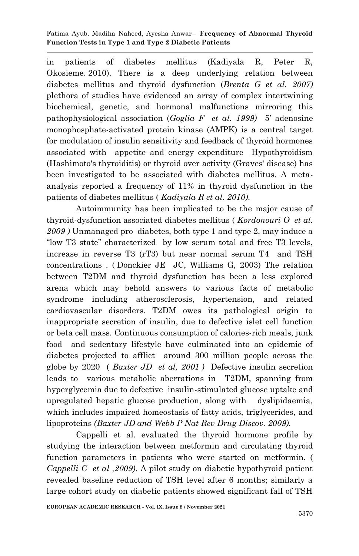in patients of diabetes mellitus (Kadiyala R, Peter R, Okosieme. 2010). There is a deep underlying relation between diabetes mellitus and thyroid dysfunction (*Brenta G et al. 2007)* plethora of studies have evidenced an array of complex intertwining biochemical, genetic, and hormonal malfunctions mirroring this pathophysiological association (*Goglia F et al. 1999)* 5′ adenosine monophosphate-activated protein kinase (AMPK) is a central target for modulation of insulin sensitivity and feedback of thyroid hormones associated with appetite and energy expenditure Hypothyroidism (Hashimoto's thyroiditis) or thyroid over activity (Graves' disease) has been investigated to be associated with diabetes mellitus. A metaanalysis reported a frequency of 11% in thyroid dysfunction in the patients of diabetes mellitus ( *Kadiyala R et al. 2010).*

Autoimmunity has been implicated to be the major cause of thyroid-dysfunction associated diabetes mellitus ( *Kordonouri O et al. 2009 )* Unmanaged pro diabetes, both type 1 and type 2, may induce a "low T3 state" characterized by low serum total and free T3 levels, increase in reverse T3 (rT3) but near normal serum T4 and TSH concentrations . ( Donckier JE JC, Williams G, 2003) The relation between T2DM and thyroid dysfunction has been a less explored arena which may behold answers to various facts of metabolic syndrome including atherosclerosis, hypertension, and related cardiovascular disorders. T2DM owes its pathological origin to inappropriate secretion of insulin, due to defective islet cell function or beta cell mass. Continuous consumption of calories-rich meals, junk food and sedentary lifestyle have culminated into an epidemic of diabetes projected to afflict around 300 million people across the globe by 2020 ( *Baxter JD et al, 2001 )* Defective insulin secretion leads to various metabolic aberrations in T2DM, spanning from hyperglycemia due to defective insulin-stimulated glucose uptake and upregulated hepatic glucose production, along with dyslipidaemia, which includes impaired homeostasis of fatty acids, triglycerides, and lipoproteins *(Baxter JD and Webb P Nat Rev Drug Discov. 2009).* 

Cappelli et al. evaluated the thyroid hormone profile by studying the interaction between metformin and circulating thyroid function parameters in patients who were started on metformin. ( *Cappelli C et al ,2009)*. A pilot study on diabetic hypothyroid patient revealed baseline reduction of TSH level after 6 months; similarly a large cohort study on diabetic patients showed significant fall of TSH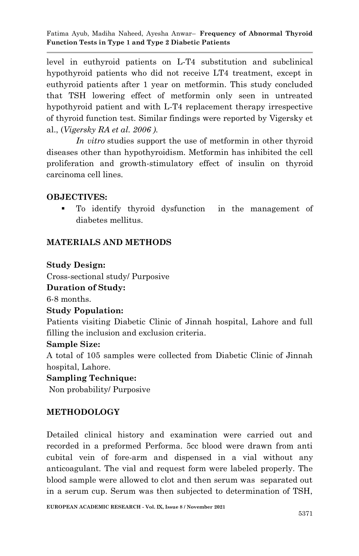level in euthyroid patients on L-T4 substitution and subclinical hypothyroid patients who did not receive LT4 treatment, except in euthyroid patients after 1 year on metformin. This study concluded that TSH lowering effect of metformin only seen in untreated hypothyroid patient and with L-T4 replacement therapy irrespective of thyroid function test. Similar findings were reported by Vigersky et al., (*Vigersky RA et al. 2006 ).*

*In vitro* studies support the use of metformin in other thyroid diseases other than hypothyroidism. Metformin has inhibited the cell proliferation and growth-stimulatory effect of insulin on thyroid carcinoma cell lines.

# **OBJECTIVES:**

 To identify thyroid dysfunction in the management of diabetes mellitus.

# **MATERIALS AND METHODS**

### **Study Design:**

Cross-sectional study/ Purposive

**Duration of Study:**

6-8 months.

#### **Study Population:**

Patients visiting Diabetic Clinic of Jinnah hospital, Lahore and full filling the inclusion and exclusion criteria.

#### **Sample Size:**

A total of 105 samples were collected from Diabetic Clinic of Jinnah hospital, Lahore.

#### **Sampling Technique:**

Non probability/ Purposive

# **METHODOLOGY**

Detailed clinical history and examination were carried out and recorded in a preformed Performa. 5cc blood were drawn from anti cubital vein of fore-arm and dispensed in a vial without any anticoagulant. The vial and request form were labeled properly. The blood sample were allowed to clot and then serum was separated out in a serum cup. Serum was then subjected to determination of TSH,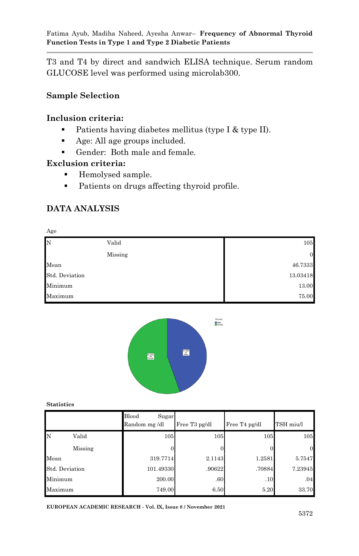T3 and T4 by direct and sandwich ELISA technique. Serum random GLUCOSE level was performed using microlab300.

# **Sample Selection**

# **Inclusion criteria:**

- Patients having diabetes mellitus (type I  $\&$  type II).
- Age: All age groups included.
- Gender: Both male and female.

# **Exclusion criteria:**

- Hemolysed sample.
- Patients on drugs affecting thyroid profile.

# **DATA ANALYSIS**





**Statistics**

|                |         | Blood<br>Sugar<br>Random mg/dl | Free T <sub>3</sub> pg/dl | Free T <sub>4</sub> pg/dl | TSH miu/l |
|----------------|---------|--------------------------------|---------------------------|---------------------------|-----------|
| N              | Valid   | 105                            | 105                       | 105                       | 105       |
|                | Missing |                                |                           |                           |           |
| Mean           |         | 319.7714                       | 2.1143                    | 1.2581                    | 5.7547    |
| Std. Deviation |         | 101.49330                      | .90622                    | .70884                    | 7.23945   |
| Minimum        |         | 200.00                         | .60                       | .10                       | .04       |
| Maximum        |         | 749.00                         | 6.50                      | 5.20                      | 33.70     |

**EUROPEAN ACADEMIC RESEARCH - Vol. IX, Issue 8 / November 2021**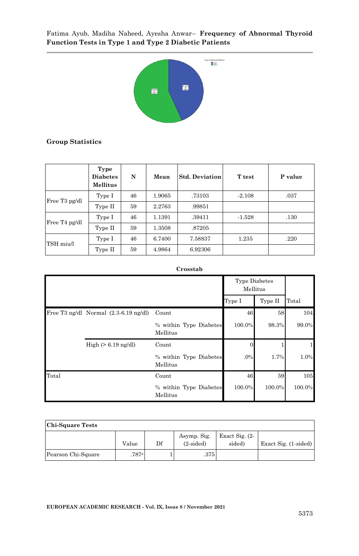

#### **Group Statistics**

|                           | Type<br><b>Diabetes</b><br><b>Mellitus</b> | N  | Mean   | <b>Std. Deviation</b> | <b>T</b> test | P value |
|---------------------------|--------------------------------------------|----|--------|-----------------------|---------------|---------|
| Free T <sub>3</sub> pg/dl | Type I                                     | 46 | 1.9065 | .73103                | $-2.108$      | .037    |
|                           | Type II                                    | 59 | 2.2763 | .99851                |               |         |
| Free T <sub>4</sub> pg/dl | Type I                                     | 46 | 1.1391 | .39411                | $-1.528$      | .130    |
|                           | Type II                                    | 59 | 1.3508 | .87205                |               |         |
| TSH miu/l                 | Type I                                     | 46 | 6.7400 | 7.58837               | 1.235         | .220    |
|                           | Type II                                    | 59 | 4.9864 | 6.92306               |               |         |

#### **Crosstab**

|       |                                                 |                                    | <b>Type Diabetes</b><br>Mellitus |         |        |
|-------|-------------------------------------------------|------------------------------------|----------------------------------|---------|--------|
|       |                                                 |                                    | Type I                           | Type II | Total  |
|       | Free T3 ng/dl Normal $(2.3-6.19 \text{ ng/dl})$ | Count                              | 46                               | 58      | 104    |
|       |                                                 | % within Type Diabetes<br>Mellitus | 100.0%                           | 98.3%   | 99.0%  |
|       | High $(> 6.19$ ng/dl)                           | Count                              | 0                                |         |        |
|       |                                                 | % within Type Diabetes<br>Mellitus | .0%                              | 1.7%    | 1.0%   |
| Total |                                                 | Count                              | 46                               | 59      | 105    |
|       |                                                 | % within Type Diabetes<br>Mellitus | 100.0%                           | 100.0%  | 100.0% |

**Chi-Square Tests**

|                    | Value | Df | Asymp. Sig.<br>$(2-sided)$ | Exact Sig. $(2 -$<br>sided) | Exact Sig. $(1 \text{-sided})$ |
|--------------------|-------|----|----------------------------|-----------------------------|--------------------------------|
| Pearson Chi-Square | .787a |    | .375                       |                             |                                |

ן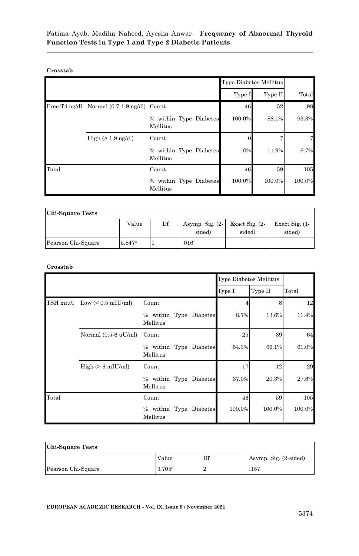#### **Crosstab**

|       |                                            |                                    | Type Diabetes Mellitus |         |        |
|-------|--------------------------------------------|------------------------------------|------------------------|---------|--------|
|       |                                            |                                    | Type I                 | Type II | Total  |
|       | Free T4 ng/dl Normal (0.7-1.9 ng/dl) Count |                                    | 46                     | 52      | 98     |
|       |                                            | % within Type Diabetes<br>Mellitus | 100.0%                 | 88.1%   | 93.3%  |
|       | $High (> 1.9$ ng/dl)                       | Count                              |                        |         |        |
|       |                                            | % within Type Diabetes<br>Mellitus | .0%                    | 11.9%   | 6.7%   |
| Total |                                            | Count                              | 46                     | 59      | 105    |
|       |                                            | % within Type Diabetes<br>Mellitus | 100.0%                 | 100.0%  | 100.0% |

| <b>Chi-Square Tests</b> |                    |    |                              |                             |                             |  |  |  |
|-------------------------|--------------------|----|------------------------------|-----------------------------|-----------------------------|--|--|--|
|                         | Value              | Df | Asymp. Sig. $(2 -$<br>sided) | Exact Sig. $(2 -$<br>sided) | Exact Sig. $(1 -$<br>sided) |  |  |  |
| Pearson Chi-Square      | 5.847 <sup>a</sup> |    | .016                         |                             |                             |  |  |  |

#### **Crosstab**

|           |                                |                                    |          | Type Diabetes Mellitus |         |        |
|-----------|--------------------------------|------------------------------------|----------|------------------------|---------|--------|
|           |                                |                                    |          | Type I                 | Type II | Total  |
| TSH miu/l | Low $(< 0.5$ mIU/ml)           | Count                              |          |                        | 8       | 12     |
|           |                                | % within Type Diabetes<br>Mellitus |          | 8.7%                   | 13.6%   | 11.4%  |
|           | Normal $(0.5-6 \text{ uU/ml})$ | Count                              |          | 25                     | 39      | 64     |
|           |                                | % within Type Diabetes<br>Mellitus |          | 54.3%                  | 66.1%   | 61.0%  |
|           | $High (> 6$ mIU/ml)            | Count                              |          | 17                     | 12      | 29     |
|           |                                | % within Type Diabetes<br>Mellitus |          | 37.0%                  | 20.3%   | 27.6%  |
| Total     |                                | Count                              |          | 46                     | 59      | 105    |
|           |                                | % within Type<br>Mellitus          | Diabetes | 100.0%                 | 100.0%  | 100.0% |

| <b>Chi-Square Tests</b> |        |                |                       |  |  |  |
|-------------------------|--------|----------------|-----------------------|--|--|--|
|                         | Value  | $\mathbf{D}$ f | Asymp. Sig. (2-sided) |  |  |  |
| Pearson Chi-Square      | 3.705a |                | .157                  |  |  |  |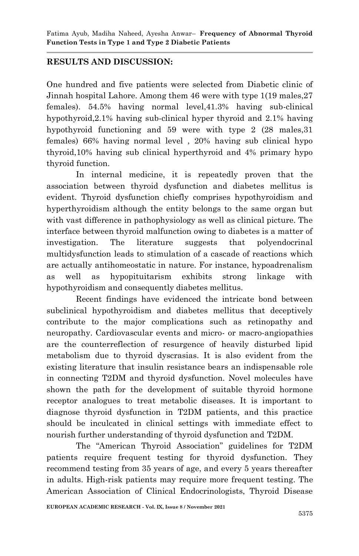# **RESULTS AND DISCUSSION:**

One hundred and five patients were selected from Diabetic clinic of Jinnah hospital Lahore. Among them 46 were with type 1(19 males,27 females). 54.5% having normal level,41.3% having sub-clinical hypothyroid,2.1% having sub-clinical hyper thyroid and 2.1% having hypothyroid functioning and 59 were with type 2 (28 males,31 females) 66% having normal level , 20% having sub clinical hypo thyroid,10% having sub clinical hyperthyroid and 4% primary hypo thyroid function.

In internal medicine, it is repeatedly proven that the association between thyroid dysfunction and diabetes mellitus is evident. Thyroid dysfunction chiefly comprises hypothyroidism and hyperthyroidism although the entity belongs to the same organ but with vast difference in pathophysiology as well as clinical picture. The interface between thyroid malfunction owing to diabetes is a matter of investigation. The literature suggests that polyendocrinal multidysfunction leads to stimulation of a cascade of reactions which are actually antihomeostatic in nature. For instance, hypoadrenalism as well as hypopituitarism exhibits strong linkage with hypothyroidism and consequently diabetes mellitus.

Recent findings have evidenced the intricate bond between subclinical hypothyroidism and diabetes mellitus that deceptively contribute to the major complications such as retinopathy and neuropathy. Cardiovascular events and micro- or macro-angiopathies are the counterreflection of resurgence of heavily disturbed lipid metabolism due to thyroid dyscrasias. It is also evident from the existing literature that insulin resistance bears an indispensable role in connecting T2DM and thyroid dysfunction. Novel molecules have shown the path for the development of suitable thyroid hormone receptor analogues to treat metabolic diseases. It is important to diagnose thyroid dysfunction in T2DM patients, and this practice should be inculcated in clinical settings with immediate effect to nourish further understanding of thyroid dysfunction and T2DM.

The "American Thyroid Association" guidelines for T2DM patients require frequent testing for thyroid dysfunction. They recommend testing from 35 years of age, and every 5 years thereafter in adults. High-risk patients may require more frequent testing. The American Association of Clinical Endocrinologists, Thyroid Disease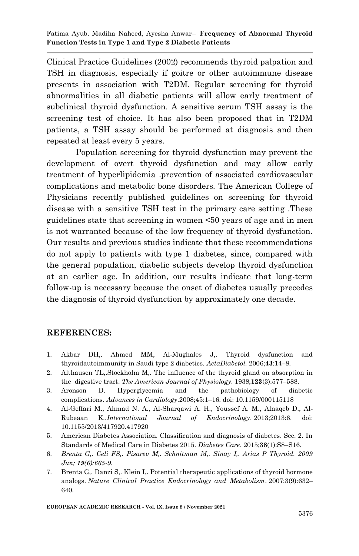Clinical Practice Guidelines (2002) recommends thyroid palpation and TSH in diagnosis, especially if goitre or other autoimmune disease presents in association with T2DM. Regular screening for thyroid abnormalities in all diabetic patients will allow early treatment of subclinical thyroid dysfunction. A sensitive serum TSH assay is the screening test of choice. It has also been proposed that in T2DM patients, a TSH assay should be performed at diagnosis and then repeated at least every 5 years.

Population screening for thyroid dysfunction may prevent the development of overt thyroid dysfunction and may allow early treatment of hyperlipidemia .prevention of associated cardiovascular complications and metabolic bone disorders. The American College of Physicians recently published guidelines on screening for thyroid disease with a sensitive TSH test in the primary care setting .These guidelines state that screening in women <50 years of age and in men is not warranted because of the low frequency of thyroid dysfunction. Our results and previous studies indicate that these recommendations do not apply to patients with type 1 diabetes, since, compared with the general population, diabetic subjects develop thyroid dysfunction at an earlier age. In addition, our results indicate that long-term follow-up is necessary because the onset of diabetes usually precedes the diagnosis of thyroid dysfunction by approximately one decade.

# **REFERENCES:**

- 1. Akbar DH,. Ahmed MM, Al-Mughales J,. Thyroid dysfunction and thyroidautoimmunity in Saudi type 2 diabetics*. ActaDiabetol.* 2006;**43**:14–8.
- 2. Althausen TL,.Stockholm M,. The influence of the thyroid gland on absorption in the digestive tract. *The American Journal of Physiology*. 1938;**123**(3):577–588.
- 3. Aronson D. Hyperglycemia and the pathobiology of diabetic complications. *Advances in Cardiology*.2008;45:1–16. doi: 10.1159/000115118
- 4. Al-Geffari M., Ahmad N. A., Al-Sharqawi A. H., Youssef A. M., Alnaqeb D., Al-Rubeaan K..*International Journal of Endocrinology*. 2013;2013:6. doi: 10.1155/2013/417920.417920
- 5. American Diabetes Association. Classification and diagnosis of diabetes. Sec. 2. In Standards of Medical Care in Diabetes 2015. *Diabetes Care*. 2015;**38**(1):S8–S16.
- 6. *Brenta G,. Celi FS,. Pisarev M,. Schnitman M,. Sinay I,. Arias P Thyroid. 2009 Jun; 19(6):665-9.*
- 7. Brenta G,. Danzi S,. Klein I,. Potential therapeutic applications of thyroid hormone analogs. *Nature Clinical Practice Endocrinology and Metabolism*. 2007;3(9):632– 640.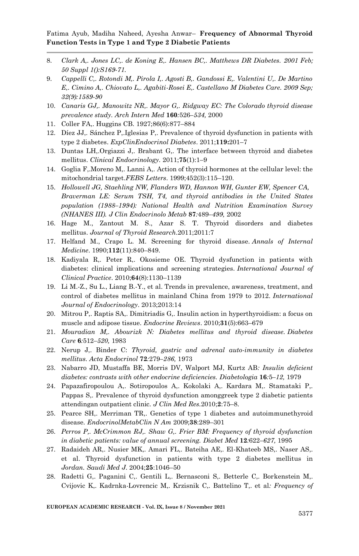- 8. *Clark A,. Jones LC,. de Koning E,. Hansen BC,. Matthews DR Diabetes. 2001 Feb; 50 Suppl 1():S169-71.*
- 9. *Cappelli C,. Rotondi M,. Pirola I,. Agosti B,. Gandossi E,. Valentini U,. De Martino E,. Cimino A,. Chiovato L,. Agabiti-Rosei E,. Castellano M Diabetes Care. 2009 Sep; 32(9):1589-90*
- 10. *Canaris GJ,. Manowitz NR,. Mayor G,. Ridgway EC: The Colorado thyroid disease prevalence study. Arch Intern Med* **160***:*526*–534,* 2000
- 11. Coller FA,. Huggins CB. 1927;86(6):877–884
- 12. Díez JJ,. Sánchez P,.Iglesias P,. Prevalence of thyroid dysfunction in patients with type 2 diabetes. *ExpClinEndocrinol Diabetes*. 2011;**119:**201–7
- 13. Duntas LH,.Orgiazzi J,. Brabant G,. The interface between thyroid and diabetes mellitus. *Clinical Endocrinology*. 2011;**75**(1):1–9
- 14. Goglia F,.Moreno M,. Lanni A,. Action of thyroid hormones at the cellular level: the mitochondrial target.*FEBS Letters*. 1999;452(3):115–120.
- 15. *Hollowell JG, Staehling NW, Flanders WD, Hannon WH, Gunter EW, Spencer CA, Braverman LE: Serum TSH, T4, and thyroid antibodies in the United States population (1988–1994): National Health and Nutrition Examination Survey (NHANES III). J Clin Endocrinolo Metab* **87***:*489*–499,* 2002
- 16. Hage M., Zantout M. S., Azar S. T. Thyroid disorders and diabetes mellitus. *Journal of Thyroid Research*.2011;2011:7
- 17. Helfand M., Crapo L. M. Screening for thyroid disease. *Annals of Internal Medicine*. 1990;**112**(11):840–849.
- 18. Kadiyala R,. Peter R,. Okosieme OE. Thyroid dysfunction in patients with diabetes: clinical implications and screening strategies. *International Journal of Clinical Practice*. 2010;**64**(8):1130–1139
- 19. Li M.-Z., Su L., Liang B.-Y., et al. Trends in prevalence, awareness, treatment, and control of diabetes mellitus in mainland China from 1979 to 2012. *International Journal of Endocrinology*. 2013;2013:14
- 20. Mitrou P,. Raptis SA,. Dimitriadis G,. Insulin action in hyperthyroidism: a focus on muscle and adipose tissue. *Endocrine Reviews*. 2010;**31**(5):663–679
- 21. *Mouradian M,. Abourizk N: Diabetes mellitus and thyroid disease. Diabetes Care* **6***:*512*–520,* 1983
- 22. Nerup J,. Binder C: *Thyroid, gastric and adrenal auto-immunity in diabetes mellitus. Acta Endocrinol* **72***:*279*–286,* 1973
- 23. Nabarro JD, Mustaffa BE, Morris DV, Walport MJ, Kurtz AB*: Insulin deficient diabetes: contrasts with other endocrine deficiencies. Diabetologia* **16***:*5*–12,* 1979
- 24. Papazafiropoulou A,. Sotiropoulos A,. Kokolaki A,. Kardara M,. Stamataki P,. Pappas S,. Prevalence of thyroid dysfunction amonggreek type 2 diabetic patients attendingan outpatient clinic*. J Clin Med Res.*2010;**2**:75–8.
- 25. Pearce SH,. Merriman TR,. Genetics of type 1 diabetes and autoimmunethyroid disease*. EndocrinolMetabClin N Am* 2009;**38**:289–301
- 26. *Perros P,. McCrimmon RJ,. Shaw G,. Frier BM: Frequency of thyroid dysfunction in diabetic patients: value of annual screening. Diabet Med* **12***:*622*–627,* 1995
- 27. Radaideh AR,. Nusier MK,. Amari FL,. Bateiha AE,. El-Khateeb MS,. Naser AS,. et al. Thyroid dysfunction in patients with type 2 diabetes mellitus in *Jordan. Saudi Med J*. 2004;**25**:1046–50
- 28. Radetti G,. Paganini C,. Gentili L,. Bernasconi S,. Betterle C,. Borkenstein M,. Cvijovic K,. Kadrnka-Lovrencic M,. Krzisnik C,. Battelino T,. et al*: Frequency of*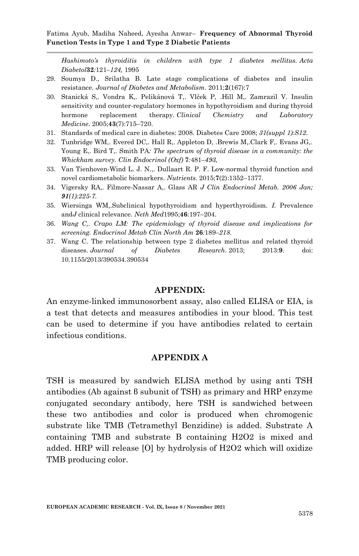*Hashimoto's thyroiditis in children with type 1 diabetes mellitus. Acta Diabetol***32***:*121*–124,* 1995

- 29. Soumya D., Srilatha B. Late stage complications of diabetes and insulin resistance. *Journal of Diabetes and Metabolism*. 2011;**2**(167):7
- 30. Stanická S,. Vondra K,. Pelikánová T,. Vlček P, .Hill M,. Zamrazil V. Insulin sensitivity and counter-regulatory hormones in hypothyroidism and during thyroid hormone replacement therapy. *Clinical Chemistry and Laboratory Medicine*. 2005;**43**(7):715–720.
- 31. Standards of medical care in diabetes: 2008. Diabetes Care 2008; *31(suppl 1):S12.*
- 32. Tunbridge WM,. Evered DC,. Hall R,. Appleton D, .Brewis M,.Clark F,. Evans JG,. Young E,. Bird T,. Smith PA*: The spectrum of thyroid disease in a community: the Whickham survey. Clin Endocrinol (Oxf)* **7***:*481*–493,*
- 33. Van Tienhoven-Wind L. J. N.,. Dullaart R. P. F. Low-normal thyroid function and novel cardiometabolic biomarkers. *Nutrients*. 2015;**7**(2):1352–1377.
- 34. Vigersky RA,. Filmore-Nassar A,. Glass AR *J Clin Endocrinol Metab. 2006 Jan; 91(1):225-7.*
- 35. Wiersinga WM,.Subclinical hypothyroidism and hyperthyroidism*. I*. Prevalence and*J* clinical relevance. *Neth Med*1995;**46**:197–204.
- 36. *Wang C,. Crapo LM: The epidemiology of thyroid disease and implications for screening. Endocrinol Metab Clin North Am* **26***:*189*–218.*
- 37. Wang C. The relationship between type 2 diabetes mellitus and related thyroid diseases. *Journal of Diabetes Research*. 2013; 2013:**9**. doi: 10.1155/2013/390534.390534

#### **APPENDIX:**

An enzyme-linked immunosorbent assay, also called ELISA or EIA, is a test that detects and measures antibodies in your blood. This test can be used to determine if you have antibodies related to certain infectious conditions.

#### **APPENDIX A**

TSH is measured by sandwich ELISA method by using anti TSH antibodies (Ab against β subunit of TSH) as primary and HRP enzyme conjugated secondary antibody, here TSH is sandwiched between these two antibodies and color is produced when chromogenic substrate like TMB (Tetramethyl Benzidine) is added. Substrate A containing TMB and substrate B containing H2O2 is mixed and added. HRP will release [O] by hydrolysis of H2O2 which will oxidize TMB producing color.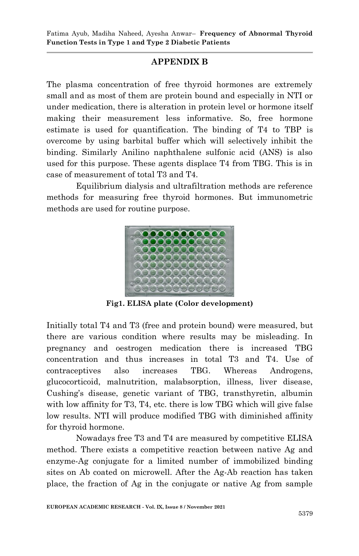# **APPENDIX B**

The plasma concentration of free thyroid hormones are extremely small and as most of them are protein bound and especially in NTI or under medication, there is alteration in protein level or hormone itself making their measurement less informative. So, free hormone estimate is used for quantification. The binding of T4 to TBP is overcome by using barbital buffer which will selectively inhibit the binding. Similarly Anilino naphthalene sulfonic acid (ANS) is also used for this purpose. These agents displace T4 from TBG. This is in case of measurement of total T3 and T4.

Equilibrium dialysis and ultrafiltration methods are reference methods for measuring free thyroid hormones. But immunometric methods are used for routine purpose.



**Fig1. ELISA plate (Color development)**

Initially total T4 and T3 (free and protein bound) were measured, but there are various condition where results may be misleading. In pregnancy and oestrogen medication there is increased TBG concentration and thus increases in total T3 and T4. Use of contraceptives also increases TBG. Whereas Androgens, glucocorticoid, malnutrition, malabsorption, illness, liver disease, Cushing's disease, genetic variant of TBG, transthyretin, albumin with low affinity for T3, T4, etc. there is low TBG which will give false low results. NTI will produce modified TBG with diminished affinity for thyroid hormone.

Nowadays free T3 and T4 are measured by competitive ELISA method. There exists a competitive reaction between native Ag and enzyme-Ag conjugate for a limited number of immobilized binding sites on Ab coated on microwell. After the Ag-Ab reaction has taken place, the fraction of Ag in the conjugate or native Ag from sample